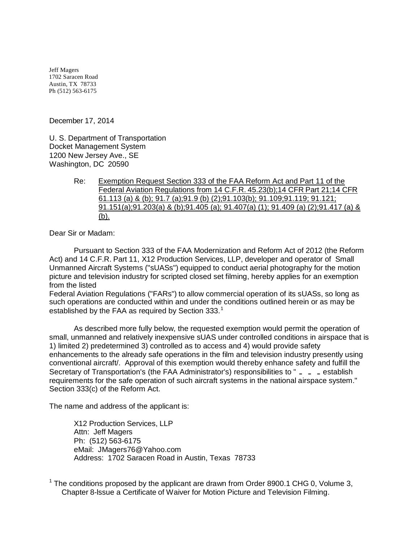Jeff Magers 1702 Saracen Road Austin, TX 78733 Ph (512) 563-6175

December 17, 2014

U. S. Department of Transportation Docket Management System 1200 New Jersey Ave., SE Washington, DC 20590

## Re: Exemption Request Section 333 of the FAA Reform Act and Part 11 of the Federal Aviation Regulations from 14 C.F.R. 45.23(b);14 CFR Part 21;14 CFR 61.113 (a) & (b); 91.7 (a);91.9 (b) (2);91.103(b); 91.109;91.119; 91.121; 91.151(a);91.203(a) & (b);91.405 (a); 91.407(a) (1); 91.409 (a) (2);91.417 (a) & (b).

Dear Sir or Madam:

Pursuant to Section 333 of the FAA Modernization and Reform Act of 2012 (the Reform Act) and 14 C.F.R. Part 11, X12 Production Services, LLP, developer and operator of Small Unmanned Aircraft Systems ("sUASs") equipped to conduct aerial photography for the motion picture and television industry for scripted closed set filming, hereby applies for an exemption from the listed

Federal Aviation Regulations ("FARs") to allow commercial operation of its sUASs, so long as such operations are conducted within and under the conditions outlined herein or as may be established by the FAA as required by Section 333. $^1$ 

As described more fully below, the requested exemption would permit the operation of small, unmanned and relatively inexpensive sUAS under controlled conditions in airspace that is 1) limited 2) predetermined 3) controlled as to access and 4) would provide safety enhancements to the already safe operations in the film and television industry presently using conventional aircraft/. Approval of this exemption would thereby enhance safety and fulfill the Secretary of Transportation's (the FAA Administrator's) responsibilities to " \_ \_ establish requirements for the safe operation of such aircraft systems in the national airspace system." Section 333(c) of the Reform Act.

The name and address of the applicant is:

X12 Production Services, LLP Attn: Jeff Magers Ph: (512) 563-6175 eMail: JMagers76@Yahoo.com Address: 1702 Saracen Road in Austin, Texas 78733

<sup>1</sup> The conditions proposed by the applicant are drawn from Order 8900.1 CHG 0, Volume 3, Chapter 8-lssue a Certificate of Waiver for Motion Picture and Television Filming.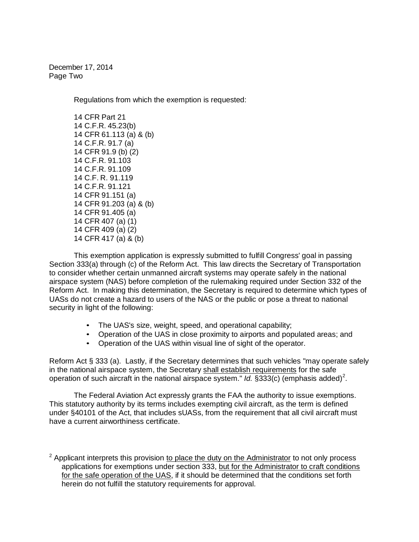December 17, 2014 Page Two

Regulations from which the exemption is requested:

 CFR Part 21 C.F.R. 45.23(b) CFR 61.113 (a) & (b) C.F.R. 91.7 (a) CFR 91.9 (b) (2) C.F.R. 91.103 C.F.R. 91.109 C.F. R. 91.119 C.F.R. 91.121 CFR 91.151 (a) CFR 91.203 (a) & (b) CFR 91.405 (a) CFR 407 (a) (1) CFR 409 (a) (2) CFR 417 (a) & (b)

This exemption application is expressly submitted to fulfill Congress' goal in passing Section 333(a) through (c) of the Reform Act. This law directs the Secretary of Transportation to consider whether certain unmanned aircraft systems may operate safely in the national airspace system (NAS) before completion of the rulemaking required under Section 332 of the Reform Act. In making this determination, the Secretary is required to determine which types of UASs do not create a hazard to users of the NAS or the public or pose a threat to national security in light of the following:

- The UAS's size, weight, speed, and operational capability;
- Operation of the UAS in close proximity to airports and populated areas; and
- Operation of the UAS within visual line of sight of the operator.

Reform Act § 333 (a). Lastly, if the Secretary determines that such vehicles "may operate safely in the national airspace system, the Secretary shall establish requirements for the safe operation of such aircraft in the national airspace system." *Id.* §333(c) (emphasis added)<sup>2</sup>.

The Federal Aviation Act expressly grants the FAA the authority to issue exemptions. This statutory authority by its terms includes exempting civil aircraft, as the term is defined under §40101 of the Act, that includes sUASs, from the requirement that all civil aircraft must have a current airworthiness certificate.

<sup>2</sup> Applicant interprets this provision to place the duty on the Administrator to not only process applications for exemptions under section 333, but for the Administrator to craft conditions for the safe operation of the UAS, if it should be determined that the conditions set forth herein do not fulfill the statutory requirements for approval.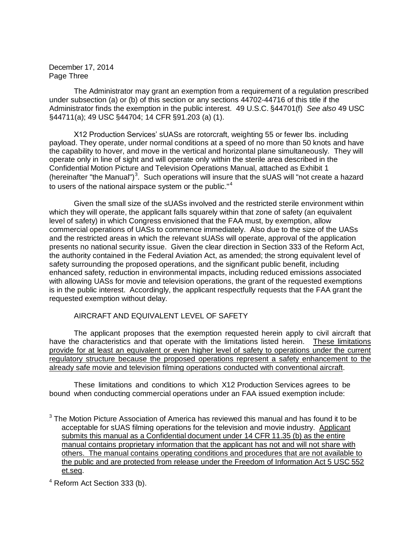December 17, 2014 Page Three

The Administrator may grant an exemption from a requirement of a regulation prescribed under subsection (a) or (b) of this section or any sections 44702-44716 of this title if the Administrator finds the exemption in the public interest. 49 U.S.C. §44701(f) *See also* 49 USC §44711(a); 49 USC §44704; 14 CFR §91.203 (a) (1).

X12 Production Services' sUASs are rotorcraft, weighting 55 or fewer lbs. including payload. They operate, under normal conditions at a speed of no more than 50 knots and have the capability to hover, and move in the vertical and horizontal plane simultaneously. They will operate only in line of sight and will operate only within the sterile area described in the Confidential Motion Picture and Television Operations Manual, attached as Exhibit 1 (hereinafter "the Manual")<sup>3</sup>. Such operations will insure that the sUAS will "not create a hazard to users of the national airspace system or the public."<sup>4</sup>

Given the small size of the sUASs involved and the restricted sterile environment within which they will operate, the applicant falls squarely within that zone of safety (an equivalent level of safety) in which Congress envisioned that the FAA must, by exemption, allow commercial operations of UASs to commence immediately. Also due to the size of the UASs and the restricted areas in which the relevant sUASs will operate, approval of the application presents no national security issue. Given the clear direction in Section 333 of the Reform Act, the authority contained in the Federal Aviation Act, as amended; the strong equivalent level of safety surrounding the proposed operations, and the significant public benefit, including enhanced safety, reduction in environmental impacts, including reduced emissions associated with allowing UASs for movie and television operations, the grant of the requested exemptions is in the public interest. Accordingly, the applicant respectfully requests that the FAA grant the requested exemption without delay.

# AIRCRAFT AND EQUIVALENT LEVEL OF SAFETY

The applicant proposes that the exemption requested herein apply to civil aircraft that have the characteristics and that operate with the limitations listed herein. These limitations provide for at least an equivalent or even higher level of safety to operations under the current regulatory structure because the proposed operations represent a safety enhancement to the already safe movie and television filming operations conducted with conventional aircraft.

These limitations and conditions to which X12 Production Services agrees to be bound when conducting commercial operations under an FAA issued exemption include:

<sup>4</sup> Reform Act Section 333 (b).

<sup>&</sup>lt;sup>3</sup> The Motion Picture Association of America has reviewed this manual and has found it to be acceptable for sUAS filming operations for the television and movie industry. Applicant submits this manual as a Confidential document under 14 CFR 11.35 (b) as the entire manual contains proprietary information that the applicant has not and will not share with others. The manual contains operating conditions and procedures that are not available to the public and are protected from release under the Freedom of Information Act 5 USC 552 et.seq.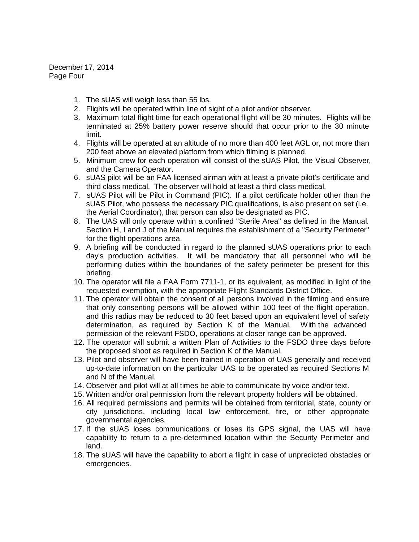December 17, 2014 Page Four

- 1. The sUAS will weigh less than 55 lbs.
- 2. Flights will be operated within line of sight of a pilot and/or observer.
- 3. Maximum total flight time for each operational flight will be 30 minutes. Flights will be terminated at 25% battery power reserve should that occur prior to the 30 minute limit.
- 4. Flights will be operated at an altitude of no more than 400 feet AGL or, not more than 200 feet above an elevated platform from which filming is planned.
- 5. Minimum crew for each operation will consist of the sUAS Pilot, the Visual Observer, and the Camera Operator.
- 6. sUAS pilot will be an FAA licensed airman with at least a private pilot's certificate and third class medical. The observer will hold at least a third class medical.
- 7. sUAS Pilot will be Pilot in Command (PIC). If a pilot certificate holder other than the sUAS Pilot, who possess the necessary PIC qualifications, is also present on set (i.e. the Aerial Coordinator), that person can also be designated as PIC.
- 8. The UAS will only operate within a confined "Sterile Area" as defined in the Manual. Section H, I and J of the Manual requires the establishment of a "Security Perimeter" for the flight operations area.
- 9. A briefing will be conducted in regard to the planned sUAS operations prior to each day's production activities. It will be mandatory that all personnel who will be performing duties within the boundaries of the safety perimeter be present for this briefing.
- 10. The operator will file a FAA Form 7711-1, or its equivalent, as modified in light of the requested exemption, with the appropriate Flight Standards District Office.
- 11. The operator will obtain the consent of all persons involved in the filming and ensure that only consenting persons will be allowed within 100 feet of the flight operation, and this radius may be reduced to 30 feet based upon an equivalent level of safety determination, as required by Section K of the Manual. With the advanced permission of the relevant FSDO, operations at closer range can be approved.
- 12. The operator will submit a written Plan of Activities to the FSDO three days before the proposed shoot as required in Section K of the Manual.
- 13. Pilot and observer will have been trained in operation of UAS generally and received up-to-date information on the particular UAS to be operated as required Sections M and N of the Manual.
- 14. Observer and pilot will at all times be able to communicate by voice and/or text.
- 15. Written and/or oral permission from the relevant property holders will be obtained.
- 16. All required permissions and permits will be obtained from territorial, state, county or city jurisdictions, including local law enforcement, fire, or other appropriate governmental agencies.
- 17. If the sUAS loses communications or loses its GPS signal, the UAS will have capability to return to a pre-determined location within the Security Perimeter and land.
- 18. The sUAS will have the capability to abort a flight in case of unpredicted obstacles or emergencies.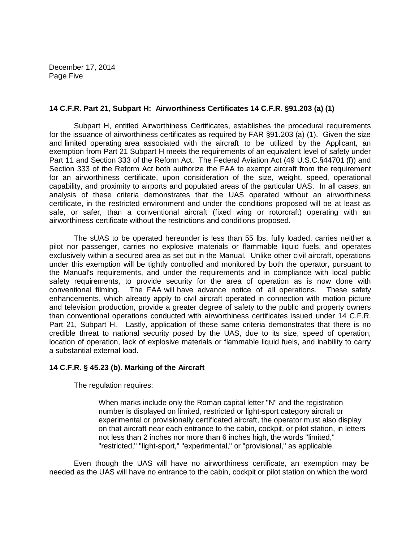December 17, 2014 Page Five

## **14 C.F.R. Part 21, Subpart H: Airworthiness Certificates 14 C.F.R. §91.203 (a) (1)**

Subpart H, entitled Airworthiness Certificates, establishes the procedural requirements for the issuance of airworthiness certificates as required by FAR §91.203 (a) (1). Given the size and limited operating area associated with the aircraft to be utilized by the Applicant, an exemption from Part 21 Subpart H meets the requirements of an equivalent level of safety under Part 11 and Section 333 of the Reform Act. The Federal Aviation Act (49 U.S.C.§44701 (f)) and Section 333 of the Reform Act both authorize the FAA to exempt aircraft from the requirement for an airworthiness certificate, upon consideration of the size, weight, speed, operational capability, and proximity to airports and populated areas of the particular UAS. In all cases, an analysis of these criteria demonstrates that the UAS operated without an airworthiness certificate, in the restricted environment and under the conditions proposed will be at least as safe, or safer, than a conventional aircraft (fixed wing or rotorcraft) operating with an airworthiness certificate without the restrictions and conditions proposed.

The sUAS to be operated hereunder is less than 55 lbs. fully loaded, carries neither a pilot nor passenger, carries no explosive materials or flammable liquid fuels, and operates exclusively within a secured area as set out in the Manual. Unlike other civil aircraft, operations under this exemption will be tightly controlled and monitored by both the operator, pursuant to the Manual's requirements, and under the requirements and in compliance with local public safety requirements, to provide security for the area of operation as is now done with conventional filming. The FAA will have advance notice of all operations. These safety enhancements, which already apply to civil aircraft operated in connection with motion picture and television production, provide a greater degree of safety to the public and property owners than conventional operations conducted with airworthiness certificates issued under 14 C.F.R. Part 21, Subpart H. Lastly, application of these same criteria demonstrates that there is no credible threat to national security posed by the UAS, due to its size, speed of operation, location of operation, lack of explosive materials or flammable liquid fuels, and inability to carry a substantial external load.

### **14 C.F.R. § 45.23 (b). Marking of the Aircraft**

The regulation requires:

When marks include only the Roman capital letter "N" and the registration number is displayed on limited, restricted or light-sport category aircraft or experimental or provisionally certificated aircraft, the operator must also display on that aircraft near each entrance to the cabin, cockpit, or pilot station, in letters not less than 2 inches nor more than 6 inches high, the words "limited," "restricted," "light-sport," "experimental," or "provisional," as applicable.

Even though the UAS will have no airworthiness certificate, an exemption may be needed as the UAS will have no entrance to the cabin, cockpit or pilot station on which the word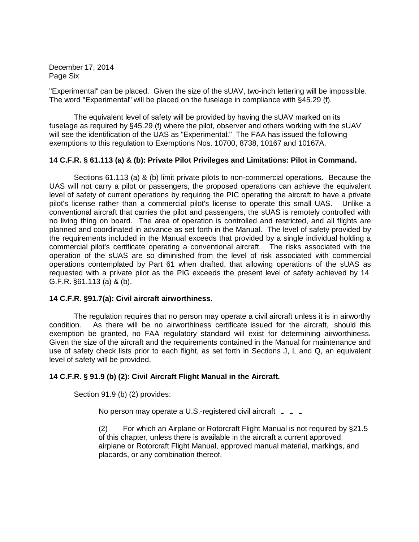December 17, 2014 Page Six

"Experimental" can be placed. Given the size of the sUAV, two-inch lettering will be impossible. The word "Experimental" will be placed on the fuselage in compliance with §45.29 (f).

The equivalent level of safety will be provided by having the sUAV marked on its fuselage as required by §45.29 (f) where the pilot, observer and others working with the sUAV will see the identification of the UAS as "Experimental." The FAA has issued the following exemptions to this regulation to Exemptions Nos. 10700, 8738, 10167 and 10167A.

### **14 C.F.R. § 61.113 (a) & (b): Private Pilot Privileges and Limitations: Pilot in Command.**

Sections 61.113 (a) & (b) limit private pilots to non-commercial operations**.** Because the UAS will not carry a pilot or passengers, the proposed operations can achieve the equivalent level of safety of current operations by requiring the PIC operating the aircraft to have a private pilot's license rather than a commercial pilot's license to operate this small UAS. Unlike a conventional aircraft that carries the pilot and passengers, the sUAS is remotely controlled with no living thing on board. The area of operation is controlled and restricted, and all flights are planned and coordinated in advance as set forth in the Manual. The level of safety provided by the requirements included in the Manual exceeds that provided by a single individual holding a commercial pilot's certificate operating a conventional aircraft. The risks associated with the operation of the sUAS are so diminished from the level of risk associated with commercial operations contemplated by Part 61 when drafted, that allowing operations of the sUAS as requested with a private pilot as the PIG exceeds the present level of safety achieved by 14 G.F.R. §61.113 (a) & (b).

### **14 C.F.R. §91.7(a): Civil aircraft airworthiness.**

The regulation requires that no person may operate a civil aircraft unless it is in airworthy condition. As there will be no airworthiness certificate issued for the aircraft, should this exemption be granted, no FAA regulatory standard will exist for determining airworthiness. Given the size of the aircraft and the requirements contained in the Manual for maintenance and use of safety check lists prior to each flight, as set forth in Sections J, L and Q, an equivalent level of safety will be provided.

### **14 C.F.R. § 91.9 (b) (2): Civil Aircraft Flight Manual in the Aircraft.**

Section 91.9 (b) (2) provides:

No person may operate a U.S.-registered civil aircraft  $\sim$   $\sim$   $\sim$ 

(2) For which an Airplane or Rotorcraft Flight Manual is not required by §21.5 of this chapter, unless there is available in the aircraft a current approved airplane or Rotorcraft Flight Manual, approved manual material, markings, and placards, or any combination thereof.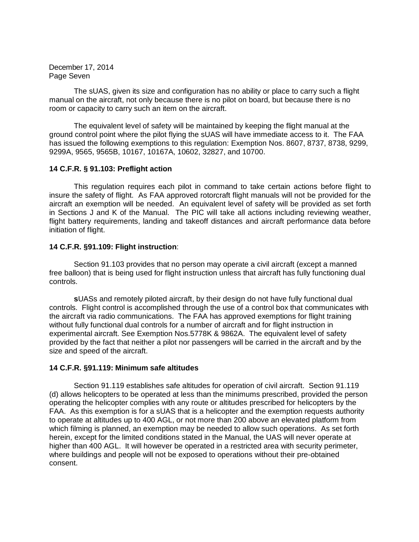December 17, 2014 Page Seven

The sUAS, given its size and configuration has no ability or place to carry such a flight manual on the aircraft, not only because there is no pilot on board, but because there is no room or capacity to carry such an item on the aircraft.

The equivalent level of safety will be maintained by keeping the flight manual at the ground control point where the pilot flying the sUAS will have immediate access to it. The FAA has issued the following exemptions to this regulation: Exemption Nos. 8607, 8737, 8738, 9299, 9299A, 9565, 9565B, 10167, 10167A, 10602, 32827, and 10700.

#### **14 C.F.R. § 91.103: Preflight action**

This regulation requires each pilot in command to take certain actions before flight to insure the safety of flight. As FAA approved rotorcraft flight manuals will not be provided for the aircraft an exemption will be needed. An equivalent level of safety will be provided as set forth in Sections J and K of the Manual. The PIC will take all actions including reviewing weather, flight battery requirements, landing and takeoff distances and aircraft performance data before initiation of flight.

### **14 C.F.R. §91.109: Flight instruction**:

Section 91.103 provides that no person may operate a civil aircraft (except a manned free balloon) that is being used for flight instruction unless that aircraft has fully functioning dual controls.

**s**UASs and remotely piloted aircraft, by their design do not have fully functional dual controls. Flight control is accomplished through the use of a control box that communicates with the aircraft via radio communications. The FAA has approved exemptions for flight training without fully functional dual controls for a number of aircraft and for flight instruction in experimental aircraft. See Exemption Nos.5778K & 9862A. The equivalent level of safety provided by the fact that neither a pilot nor passengers will be carried in the aircraft and by the size and speed of the aircraft.

#### **14 C.F.R. §91.119: Minimum safe altitudes**

Section 91.119 establishes safe altitudes for operation of civil aircraft. Section 91.119 (d) allows helicopters to be operated at less than the minimums prescribed, provided the person operating the helicopter complies with any route or altitudes prescribed for helicopters by the FAA. As this exemption is for a sUAS that is a helicopter and the exemption requests authority to operate at altitudes up to 400 AGL, or not more than 200 above an elevated platform from which filming is planned, an exemption may be needed to allow such operations. As set forth herein, except for the limited conditions stated in the Manual, the UAS will never operate at higher than 400 AGL. It will however be operated in a restricted area with security perimeter, where buildings and people will not be exposed to operations without their pre-obtained consent.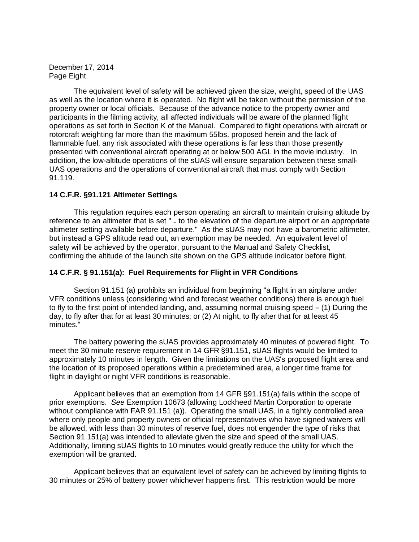December 17, 2014 Page Eight

The equivalent level of safety will be achieved given the size, weight, speed of the UAS as well as the location where it is operated. No flight will be taken without the permission of the property owner or local officials. Because of the advance notice to the property owner and participants in the filming activity, all affected individuals will be aware of the planned flight operations as set forth in Section K of the Manual. Compared to flight operations with aircraft or rotorcraft weighting far more than the maximum 55lbs. proposed herein and the lack of flammable fuel, any risk associated with these operations is far less than those presently presented with conventional aircraft operating at or below 500 AGL in the movie industry. In addition, the low-altitude operations of the sUAS will ensure separation between these small-UAS operations and the operations of conventional aircraft that must comply with Section 91.119.

#### **14 C.F.R. §91.121 Altimeter Settings**

This regulation requires each person operating an aircraft to maintain cruising altitude by reference to an altimeter that is set " \_ to the elevation of the departure airport or an appropriate altimeter setting available before departure." As the sUAS may not have a barometric altimeter, but instead a GPS altitude read out, an exemption may be needed. An equivalent level of safety will be achieved by the operator, pursuant to the Manual and Safety Checklist, confirming the altitude of the launch site shown on the GPS altitude indicator before flight.

#### **14 C.F.R. § 91.151(a): Fuel Requirements for Flight in VFR Conditions**

Section 91.151 (a) prohibits an individual from beginning "a flight in an airplane under VFR conditions unless (considering wind and forecast weather conditions) there is enough fuel to fly to the first point of intended landing, and, assuming normal cruising speed - (1) During the day, to fly after that for at least 30 minutes; or (2) At night, to fly after that for at least 45 minutes."

The battery powering the sUAS provides approximately 40 minutes of powered flight. To meet the 30 minute reserve requirement in 14 GFR §91.151, sUAS flights would be limited to approximately 10 minutes in length. Given the limitations on the UAS's proposed flight area and the location of its proposed operations within a predetermined area, a longer time frame for flight in daylight or night VFR conditions is reasonable.

Applicant believes that an exemption from 14 GFR §91.151(a) falls within the scope of prior exemptions. *See* Exemption 10673 (allowing Lockheed Martin Corporation to operate without compliance with FAR 91.151 (a)). Operating the small UAS, in a tightly controlled area where only people and property owners or official representatives who have signed waivers will be allowed, with less than 30 minutes of reserve fuel, does not engender the type of risks that Section 91.151(a) was intended to alleviate given the size and speed of the small UAS. Additionally, limiting sUAS flights to 10 minutes would greatly reduce the utility for which the exemption will be granted.

Applicant believes that an equivalent level of safety can be achieved by limiting flights to 30 minutes or 25% of battery power whichever happens first. This restriction would be more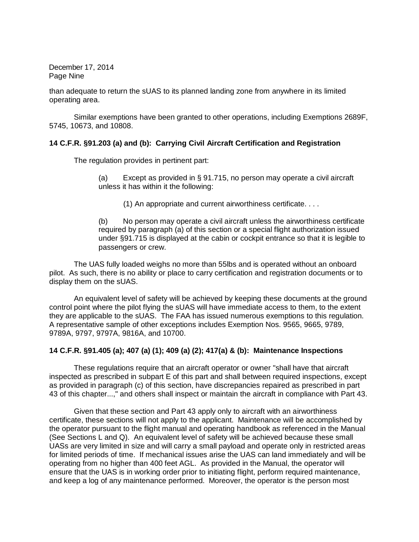December 17, 2014 Page Nine

than adequate to return the sUAS to its planned landing zone from anywhere in its limited operating area.

Similar exemptions have been granted to other operations, including Exemptions 2689F, 5745, 10673, and 10808.

## **14 C.F.R. §91.203 (a) and (b): Carrying Civil Aircraft Certification and Registration**

The regulation provides in pertinent part:

(a) Except as provided in § 91.715, no person may operate a civil aircraft unless it has within it the following:

(1) An appropriate and current airworthiness certificate. . . .

(b) No person may operate a civil aircraft unless the airworthiness certificate required by paragraph (a) of this section or a special flight authorization issued under §91.715 is displayed at the cabin or cockpit entrance so that it is legible to passengers or crew.

The UAS fully loaded weighs no more than 55lbs and is operated without an onboard pilot. As such, there is no ability or place to carry certification and registration documents or to display them on the sUAS.

An equivalent level of safety will be achieved by keeping these documents at the ground control point where the pilot flying the sUAS will have immediate access to them, to the extent they are applicable to the sUAS. The FAA has issued numerous exemptions to this regulation. A representative sample of other exceptions includes Exemption Nos. 9565, 9665, 9789, 9789A, 9797, 9797A, 9816A, and 10700.

# **14 C.F.R. §91.405 (a); 407 (a) (1); 409 (a) (2); 417(a) & (b): Maintenance Inspections**

These regulations require that an aircraft operator or owner "shall have that aircraft inspected as prescribed in subpart E of this part and shall between required inspections, except as provided in paragraph (c) of this section, have discrepancies repaired as prescribed in part 43 of this chapter...," and others shall inspect or maintain the aircraft in compliance with Part 43.

Given that these section and Part 43 apply only to aircraft with an airworthiness certificate, these sections will not apply to the applicant. Maintenance will be accomplished by the operator pursuant to the flight manual and operating handbook as referenced in the Manual (See Sections L and Q). An equivalent level of safety will be achieved because these small UASs are very limited in size and will carry a small payload and operate only in restricted areas for limited periods of time. If mechanical issues arise the UAS can land immediately and will be operating from no higher than 400 feet AGL. As provided in the Manual, the operator will ensure that the UAS is in working order prior to initiating flight, perform required maintenance, and keep a log of any maintenance performed. Moreover, the operator is the person most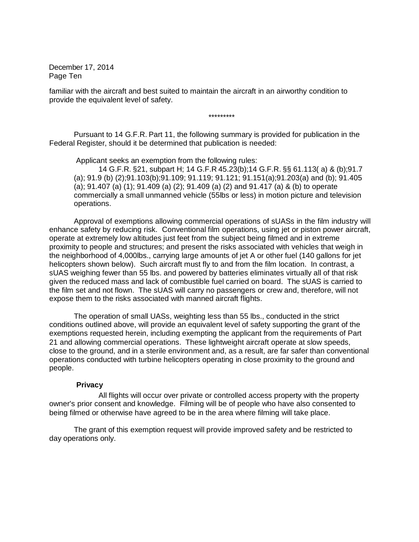December 17, 2014 Page Ten

familiar with the aircraft and best suited to maintain the aircraft in an airworthy condition to provide the equivalent level of safety.

\*\*\*\*\*\*\*\*\*

Pursuant to 14 G.F.R. Part 11, the following summary is provided for publication in the Federal Register, should it be determined that publication is needed:

Applicant seeks an exemption from the following rules:

14 G.F.R. §21, subpart H; 14 G.F.R 45.23(b);14 G.F.R. §§ 61.113( a) & (b);91.7 (a); 91.9 (b) (2);91.103(b);91.109; 91.119; 91.121; 91.151(a);91.203(a) and (b); 91.405 (a); 91.407 (a) (1); 91.409 (a) (2); 91.409 (a) (2) and 91.417 (a) & (b) to operate commercially a small unmanned vehicle (55lbs or less) in motion picture and television operations.

Approval of exemptions allowing commercial operations of sUASs in the film industry will enhance safety by reducing risk. Conventional film operations, using jet or piston power aircraft, operate at extremely low altitudes just feet from the subject being filmed and in extreme proximity to people and structures; and present the risks associated with vehicles that weigh in the neighborhood of 4,000lbs., carrying large amounts of jet A or other fuel (140 gallons for jet helicopters shown below). Such aircraft must fly to and from the film location. In contrast, a sUAS weighing fewer than 55 lbs. and powered by batteries eliminates virtually all of that risk given the reduced mass and lack of combustible fuel carried on board. The sUAS is carried to the film set and not flown. The sUAS will carry no passengers or crew and, therefore, will not expose them to the risks associated with manned aircraft flights.

The operation of small UASs, weighting less than 55 lbs., conducted in the strict conditions outlined above, will provide an equivalent level of safety supporting the grant of the exemptions requested herein, including exempting the applicant from the requirements of Part 21 and allowing commercial operations. These lightweight aircraft operate at slow speeds, close to the ground, and in a sterile environment and, as a result, are far safer than conventional operations conducted with turbine helicopters operating in close proximity to the ground and people.

### **Privacy**

All flights will occur over private or controlled access property with the property owner's prior consent and knowledge. Filming will be of people who have also consented to being filmed or otherwise have agreed to be in the area where filming will take place.

The grant of this exemption request will provide improved safety and be restricted to day operations only.